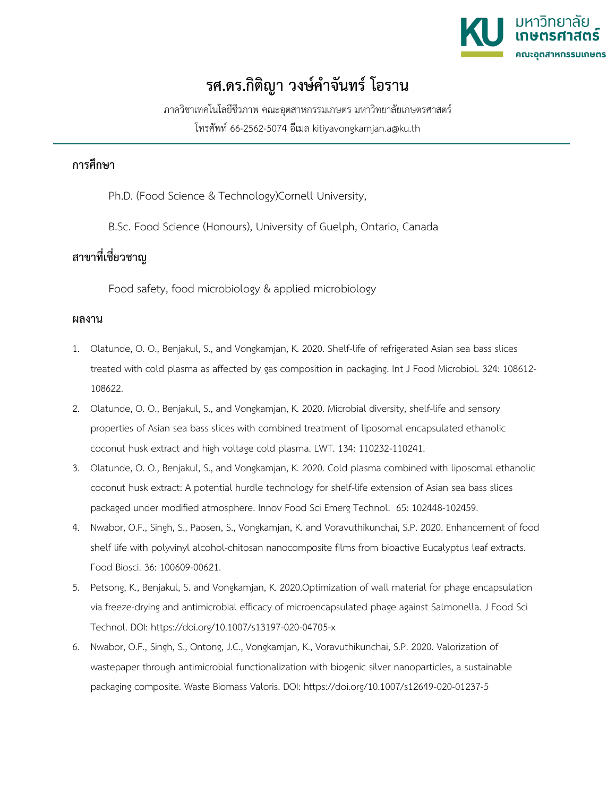

## **รศ.ดร.กิติญา วงษ์คำจันทร์ โอราน**

ภาควิชาเทคโนโลยีชีวภาพ คณะอุตสาหกรรมเกษตร มหาวิทยาลัยเกษตรศาสตร์ โทรศัพท์ 66-2562-5074 อีเมล kitiyavongkamjan.a@ku.th

## **การศึกษา**

Ph.D. (Food Science & Technology)Cornell University,

B.Sc. Food Science (Honours), University of Guelph, Ontario, Canada

## **สาขาที่เชี่ยวชาญ**

Food safety, food microbiology & applied microbiology

## **ผลงาน**

- 1. Olatunde, O. O., Benjakul, S., and Vongkamjan, K. 2020. Shelf-life of refrigerated Asian sea bass slices treated with cold plasma as affected by gas composition in packaging. Int J Food Microbiol. 324: 108612- 108622.
- 2. Olatunde, O. O., Benjakul, S., and Vongkamjan, K. 2020. Microbial diversity, shelf-life and sensory properties of Asian sea bass slices with combined treatment of liposomal encapsulated ethanolic coconut husk extract and high voltage cold plasma. LWT. 134: 110232-110241.
- 3. Olatunde, O. O., Benjakul, S., and Vongkamjan, K. 2020. Cold plasma combined with liposomal ethanolic coconut husk extract: A potential hurdle technology for shelf-life extension of Asian sea bass slices packaged under modified atmosphere. Innov Food Sci Emerg Technol. 65: 102448-102459.
- 4. Nwabor, O.F., Singh, S., Paosen, S., Vongkamjan, K. and Voravuthikunchai, S.P. 2020. Enhancement of food shelf life with polyvinyl alcohol-chitosan nanocomposite films from bioactive Eucalyptus leaf extracts. Food Biosci. 36: 100609-00621.
- 5. Petsong, K., Benjakul, S. and Vongkamjan, K. 2020.Optimization of wall material for phage encapsulation via freeze-drying and antimicrobial efficacy of microencapsulated phage against Salmonella. J Food Sci Technol. DOI: https://doi.org/10.1007/s13197-020-04705-x
- 6. Nwabor, O.F., Singh, S., Ontong, J.C., Vongkamjan, K., Voravuthikunchai, S.P. 2020. Valorization of wastepaper through antimicrobial functionalization with biogenic silver nanoparticles, a sustainable packaging composite. Waste Biomass Valoris. DOI: https://doi.org/10.1007/s12649-020-01237-5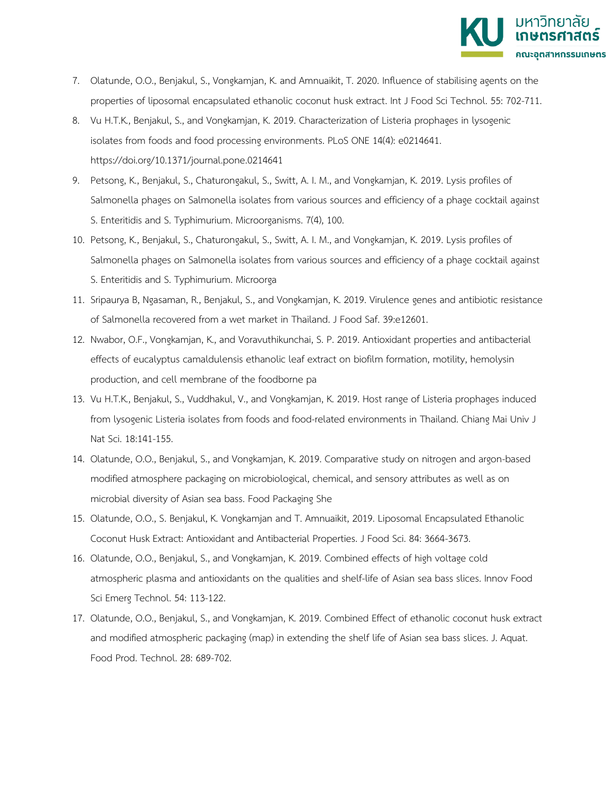

- 7. Olatunde, O.O., Benjakul, S., Vongkamjan, K. and Amnuaikit, T. 2020. Influence of stabilising agents on the properties of liposomal encapsulated ethanolic coconut husk extract. Int J Food Sci Technol. 55: 702-711.
- 8. Vu H.T.K., Benjakul, S., and Vongkamjan, K. 2019. Characterization of Listeria prophages in lysogenic isolates from foods and food processing environments. PLoS ONE 14(4): e0214641. https://doi.org/10.1371/journal.pone.0214641
- 9. Petsong, K., Benjakul, S., Chaturongakul, S., Switt, A. I. M., and Vongkamjan, K. 2019. Lysis profiles of Salmonella phages on Salmonella isolates from various sources and efficiency of a phage cocktail against S. Enteritidis and S. Typhimurium. Microorganisms. 7(4), 100.
- 10. Petsong, K., Benjakul, S., Chaturongakul, S., Switt, A. I. M., and Vongkamjan, K. 2019. Lysis profiles of Salmonella phages on Salmonella isolates from various sources and efficiency of a phage cocktail against S. Enteritidis and S. Typhimurium. Microorga
- 11. Sripaurya B, Ngasaman, R., Benjakul, S., and Vongkamjan, K. 2019. Virulence genes and antibiotic resistance of Salmonella recovered from a wet market in Thailand. J Food Saf. 39:e12601.
- 12. Nwabor, O.F., Vongkamjan, K., and Voravuthikunchai, S. P. 2019. Antioxidant properties and antibacterial effects of eucalyptus camaldulensis ethanolic leaf extract on biofilm formation, motility, hemolysin production, and cell membrane of the foodborne pa
- 13. Vu H.T.K., Benjakul, S., Vuddhakul, V., and Vongkamjan, K. 2019. Host range of Listeria prophages induced from lysogenic Listeria isolates from foods and food-related environments in Thailand. Chiang Mai Univ J Nat Sci. 18:141-155.
- 14. Olatunde, O.O., Benjakul, S., and Vongkamjan, K. 2019. Comparative study on nitrogen and argon-based modified atmosphere packaging on microbiological, chemical, and sensory attributes as well as on microbial diversity of Asian sea bass. Food Packaging She
- 15. Olatunde, O.O., S. Benjakul, K. Vongkamjan and T. Amnuaikit, 2019. Liposomal Encapsulated Ethanolic Coconut Husk Extract: Antioxidant and Antibacterial Properties. J Food Sci. 84: 3664-3673.
- 16. Olatunde, O.O., Benjakul, S., and Vongkamjan, K. 2019. Combined effects of high voltage cold atmospheric plasma and antioxidants on the qualities and shelf-life of Asian sea bass slices. Innov Food Sci Emerg Technol. 54: 113-122.
- 17. Olatunde, O.O., Benjakul, S., and Vongkamjan, K. 2019. Combined Effect of ethanolic coconut husk extract and modified atmospheric packaging (map) in extending the shelf life of Asian sea bass slices. J. Aquat. Food Prod. Technol. 28: 689-702.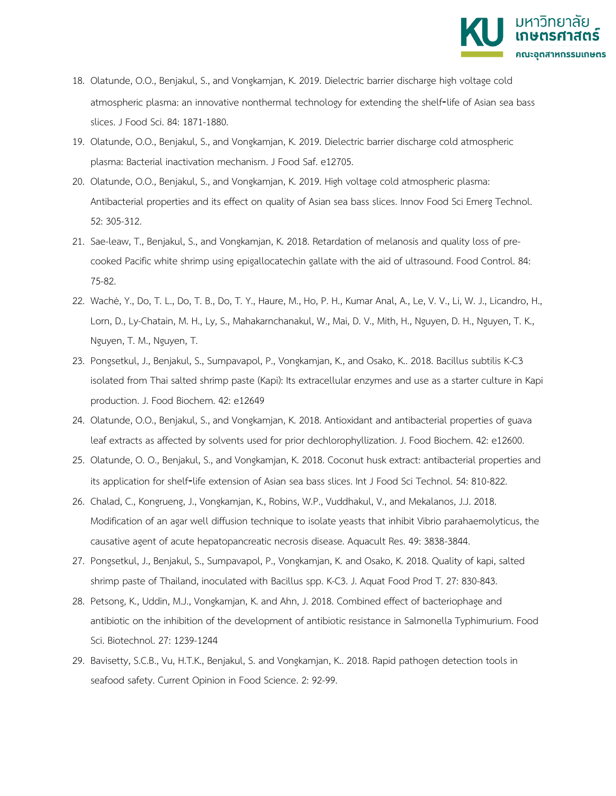

- 18. Olatunde, O.O., Benjakul, S., and Vongkamjan, K. 2019. Dielectric barrier discharge high voltage cold atmospheric plasma: an innovative nonthermal technology for extending the shelf-life of Asian sea bass slices. J Food Sci. 84: 1871-1880.
- 19. Olatunde, O.O., Benjakul, S., and Vongkamjan, K. 2019. Dielectric barrier discharge cold atmospheric plasma: Bacterial inactivation mechanism. J Food Saf. e12705.
- 20. Olatunde, O.O., Benjakul, S., and Vongkamjan, K. 2019. High voltage cold atmospheric plasma: Antibacterial properties and its effect on quality of Asian sea bass slices. Innov Food Sci Emerg Technol. 52: 305-312.
- 21. Sae-leaw, T., Benjakul, S., and Vongkamjan, K. 2018. Retardation of melanosis and quality loss of precooked Pacific white shrimp using epigallocatechin gallate with the aid of ultrasound. Food Control. 84: 75-82.
- 22. Waché, Y., Do, T. L., Do, T. B., Do, T. Y., Haure, M., Ho, P. H., Kumar Anal, A., Le, V. V., Li, W. J., Licandro, H., Lorn, D., Ly-Chatain, M. H., Ly, S., Mahakarnchanakul, W., Mai, D. V., Mith, H., Nguyen, D. H., Nguyen, T. K., Nguyen, T. M., Nguyen, T.
- 23. Pongsetkul, J., Benjakul, S., Sumpavapol, P., Vongkamjan, K., and Osako, K.. 2018. Bacillus subtilis K-C3 isolated from Thai salted shrimp paste (Kapi): Its extracellular enzymes and use as a starter culture in Kapi production. J. Food Biochem. 42: e12649
- 24. Olatunde, O.O., Benjakul, S., and Vongkamjan, K. 2018. Antioxidant and antibacterial properties of guava leaf extracts as affected by solvents used for prior dechlorophyllization. J. Food Biochem. 42: e12600.
- 25. Olatunde, O. O., Benjakul, S., and Vongkamjan, K. 2018. Coconut husk extract: antibacterial properties and its application for shelf‐life extension of Asian sea bass slices. Int J Food Sci Technol. 54: 810-822.
- 26. Chalad, C., Kongrueng, J., Vongkamjan, K., Robins, W.P., Vuddhakul, V., and Mekalanos, J.J. 2018. Modification of an agar well diffusion technique to isolate yeasts that inhibit Vibrio parahaemolyticus, the causative agent of acute hepatopancreatic necrosis disease. Aquacult Res. 49: 3838-3844.
- 27. Pongsetkul, J., Benjakul, S., Sumpavapol, P., Vongkamjan, K. and Osako, K. 2018. Quality of kapi, salted shrimp paste of Thailand, inoculated with Bacillus spp. K-C3. J. Aquat Food Prod T. 27: 830-843.
- 28. Petsong, K., Uddin, M.J., Vongkamjan, K. and Ahn, J. 2018. Combined effect of bacteriophage and antibiotic on the inhibition of the development of antibiotic resistance in Salmonella Typhimurium. Food Sci. Biotechnol. 27: 1239-1244
- 29. Bavisetty, S.C.B., Vu, H.T.K., Benjakul, S. and Vongkamjan, K.. 2018. Rapid pathogen detection tools in seafood safety. Current Opinion in Food Science. 2: 92-99.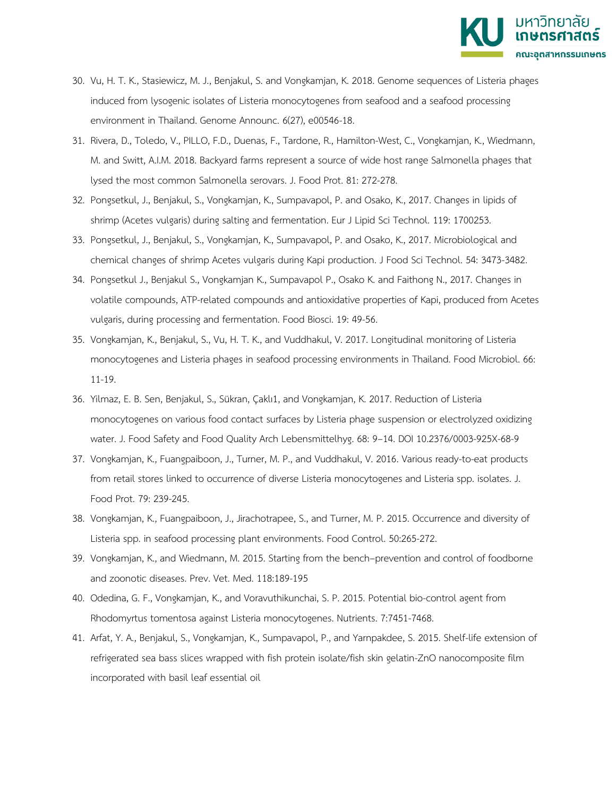

- 30. Vu, H. T. K., Stasiewicz, M. J., Benjakul, S. and Vongkamjan, K. 2018. Genome sequences of Listeria phages induced from lysogenic isolates of Listeria monocytogenes from seafood and a seafood processing environment in Thailand. Genome Announc. 6(27), e00546-18.
- 31. Rivera, D., Toledo, V., PILLO, F.D., Duenas, F., Tardone, R., Hamilton-West, C., Vongkamjan, K., Wiedmann, M. and Switt, A.I.M. 2018. Backyard farms represent a source of wide host range Salmonella phages that lysed the most common Salmonella serovars. J. Food Prot. 81: 272-278.
- 32. Pongsetkul, J., Benjakul, S., Vongkamjan, K., Sumpavapol, P. and Osako, K., 2017. Changes in lipids of shrimp (Acetes vulgaris) during salting and fermentation. Eur J Lipid Sci Technol. 119: 1700253.
- 33. Pongsetkul, J., Benjakul, S., Vongkamjan, K., Sumpavapol, P. and Osako, K., 2017. Microbiological and chemical changes of shrimp Acetes vulgaris during Kapi production. J Food Sci Technol. 54: 3473-3482.
- 34. Pongsetkul J., Benjakul S., Vongkamjan K., Sumpavapol P., Osako K. and Faithong N., 2017. Changes in volatile compounds, ATP-related compounds and antioxidative properties of Kapi, produced from Acetes vulgaris, during processing and fermentation. Food Biosci. 19: 49-56.
- 35. Vongkamjan, K., Benjakul, S., Vu, H. T. K., and Vuddhakul, V. 2017. Longitudinal monitoring of Listeria monocytogenes and Listeria phages in seafood processing environments in Thailand. Food Microbiol. 66: 11-19.
- 36. Yilmaz, E. B. Sen, Benjakul, S., Sükran, Çaklı1, and Vongkamjan, K. 2017. Reduction of Listeria monocytogenes on various food contact surfaces by Listeria phage suspension or electrolyzed oxidizing water. J. Food Safety and Food Quality Arch Lebensmittelhyg. 68: 9–14. DOI 10.2376/0003-925X-68-9
- 37. Vongkamjan, K., Fuangpaiboon, J., Turner, M. P., and Vuddhakul, V. 2016. Various ready-to-eat products from retail stores linked to occurrence of diverse Listeria monocytogenes and Listeria spp. isolates. J. Food Prot. 79: 239-245.
- 38. Vongkamjan, K., Fuangpaiboon, J., Jirachotrapee, S., and Turner, M. P. 2015. Occurrence and diversity of Listeria spp. in seafood processing plant environments. Food Control. 50:265-272.
- 39. Vongkamjan, K., and Wiedmann, M. 2015. Starting from the bench–prevention and control of foodborne and zoonotic diseases. Prev. Vet. Med. 118:189-195
- 40. Odedina, G. F., Vongkamjan, K., and Voravuthikunchai, S. P. 2015. Potential bio-control agent from Rhodomyrtus tomentosa against Listeria monocytogenes. Nutrients. 7:7451-7468.
- 41. Arfat, Y. A., Benjakul, S., Vongkamjan, K., Sumpavapol, P., and Yarnpakdee, S. 2015. Shelf-life extension of refrigerated sea bass slices wrapped with fish protein isolate/fish skin gelatin-ZnO nanocomposite film incorporated with basil leaf essential oil